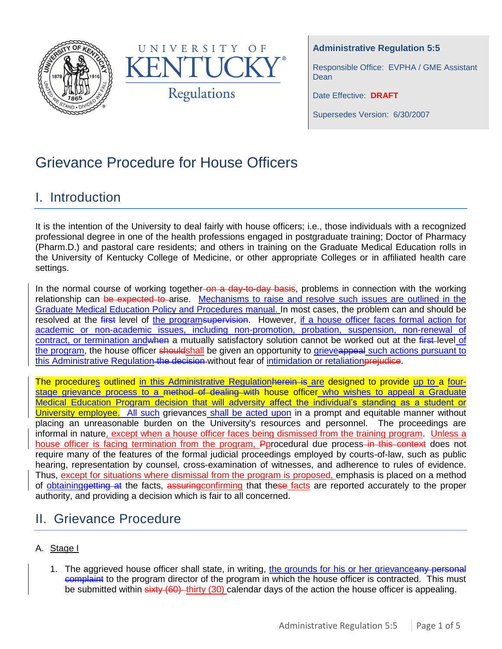



**Administrative Regulation 5:5**

Responsible Office: EVPHA / GME Assistant **Dean** 

Date Effective: **DRAFT**

Supersedes Version: 6/30/2007

# Grievance Procedure for House Officers

### I. Introduction

It is the intention of the University to deal fairly with house officers; i.e., those individuals with a recognized professional degree in one of the health professions engaged in postgraduate training; Doctor of Pharmacy (Pharm.D.) and pastoral care residents; and others in training on the Graduate Medical Education rolls in the University of Kentucky College of Medicine, or other appropriate Colleges or in affiliated health care settings.

In the normal course of working together-on a day-to-day basis, problems in connection with the working relationship can be expected to arise. Mechanisms to raise and resolve such issues are outlined in the Graduate Medical Education Policy and Procedures manual. In most cases, the problem can and should be resolved at the first level of the programsupervision. However, if a house officer faces formal action for academic or non-academic issues, including non-promotion, probation, suspension, non-renewal of contract, or termination and when a mutually satisfactory solution cannot be worked out at the first level of the program, the house officer shouldshall be given an opportunity to grieveappeal such actions pursuant to this Administrative Regulation the decision without fear of intimidation or retaliation prejudice.

The procedures outlined in this Administrative Regulationherein is are designed to provide up to a fourstage grievance process to a method of dealing with house officer who wishes to appeal a Graduate Medical Education Program decision that will adversity affect the individual's standing as a student or University employee. All such grievances shall be acted upon in a prompt and equitable manner without placing an unreasonable burden on the University's resources and personnel. The proceedings are informal in nature, except when a house officer faces being dismissed from the training program. Unless a house officer is facing termination from the program, Pprocedural due process-in this context does not require many of the features of the formal judicial proceedings employed by courts-of-law, such as public hearing, representation by counsel, cross-examination of witnesses, and adherence to rules of evidence. Thus, except for situations where dismissal from the program is proposed, emphasis is placed on a method of obtaininggetting at the facts, assuringconfirming that these facts are reported accurately to the proper authority, and providing a decision which is fair to all concerned.

## II. Grievance Procedure

### A. Stage I

1. The aggrieved house officer shall state, in writing, the grounds for his or her grievanceany personal **COMPLA** interprogram director of the program in which the house officer is contracted. This must be submitted within sixty (60) thirty (30) calendar days of the action the house officer is appealing.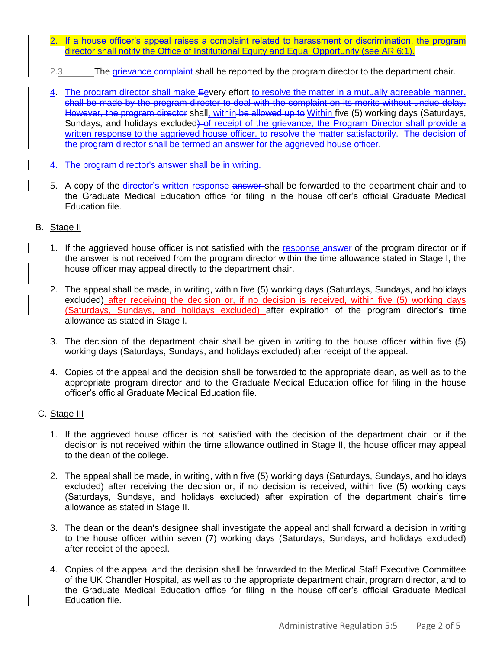- 2. If a house officer's appeal raises a complaint related to harassment or discrimination, the program director shall notify the Office of Institutional Equity and Equal Opportunity (see AR 6:1).
- 2.3. The grievance complaint shall be reported by the program director to the department chair.
- 4. The program director shall make Eevery effort to resolve the matter in a mutually agreeable manner. shall be made by the program director to deal with the complaint on its merits without undue delay. However, the program director shall, within be allowed up to Within five (5) working days (Saturdays, Sundays, and holidays excluded) of receipt of the grievance, the Program Director shall provide a written response to the aggrieved house officer. to resolve the matter satisfactorily. The decision of the program director shall be termed an answer for the aggrieved house officer.
- 4. The program director's answer shall be in writing.
- 5. A copy of the director's written response answer-shall be forwarded to the department chair and to the Graduate Medical Education office for filing in the house officer's official Graduate Medical Education file.

#### B. Stage II

- 1. If the aggrieved house officer is not satisfied with the response answer of the program director or if the answer is not received from the program director within the time allowance stated in Stage I, the house officer may appeal directly to the department chair.
- 2. The appeal shall be made, in writing, within five (5) working days (Saturdays, Sundays, and holidays excluded) after receiving the decision or, if no decision is received, within five (5) working days (Saturdays, Sundays, and holidays excluded) after expiration of the program director's time allowance as stated in Stage I.
- 3. The decision of the department chair shall be given in writing to the house officer within five (5) working days (Saturdays, Sundays, and holidays excluded) after receipt of the appeal.
- 4. Copies of the appeal and the decision shall be forwarded to the appropriate dean, as well as to the appropriate program director and to the Graduate Medical Education office for filing in the house officer's official Graduate Medical Education file.

#### C. Stage III

- 1. If the aggrieved house officer is not satisfied with the decision of the department chair, or if the decision is not received within the time allowance outlined in Stage II, the house officer may appeal to the dean of the college.
- 2. The appeal shall be made, in writing, within five (5) working days (Saturdays, Sundays, and holidays excluded) after receiving the decision or, if no decision is received, within five (5) working days (Saturdays, Sundays, and holidays excluded) after expiration of the department chair's time allowance as stated in Stage II.
- 3. The dean or the dean's designee shall investigate the appeal and shall forward a decision in writing to the house officer within seven (7) working days (Saturdays, Sundays, and holidays excluded) after receipt of the appeal.
- 4. Copies of the appeal and the decision shall be forwarded to the Medical Staff Executive Committee of the UK Chandler Hospital, as well as to the appropriate department chair, program director, and to the Graduate Medical Education office for filing in the house officer's official Graduate Medical Education file.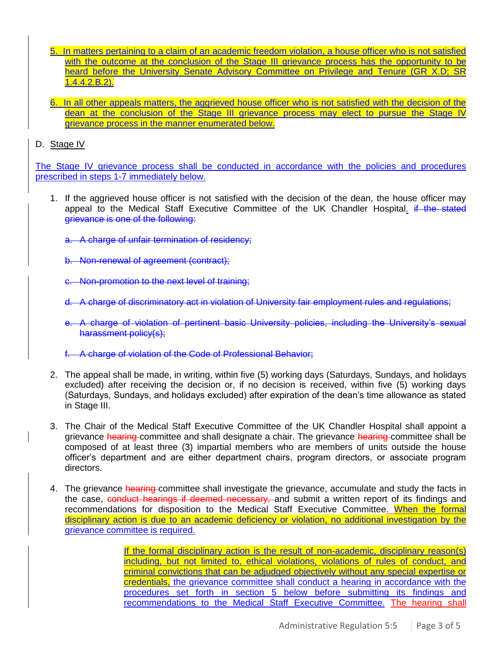- 5. In matters pertaining to a claim of an academic freedom violation, a house officer who is not satisfied with the outcome at the conclusion of the Stage III grievance process has the opportunity to be heard before the University Senate Advisory Committee on Privilege and Tenure (GR X.D; SR 1.4.4.2.B.2).
- 6. In all other appeals matters, the aggrieved house officer who is not satisfied with the decision of the dean at the conclusion of the Stage III grievance process may elect to pursue the Stage IV grievance process in the manner enumerated below.

#### D. Stage IV

The Stage IV grievance process shall be conducted in accordance with the policies and procedures prescribed in steps 1-7 immediately below.

- 1. If the aggrieved house officer is not satisfied with the decision of the dean, the house officer may appeal to the Medical Staff Executive Committee of the UK Chandler Hospital. if the stated grievance is one of the following:
	- a. A charge of unfair termination of residency;
	- b. Non-renewal of agreement (contract);
	- c. Non-promotion to the next level of training;
	- d. A charge of discriminatory act in violation of University fair employment rules and regulations;
	- e. A charge of violation of pertinent basic University policies, including the University's sexual harassment policy(s);
	- f. A charge of violation of the Code of Professional Behavior;
- 2. The appeal shall be made, in writing, within five (5) working days (Saturdays, Sundays, and holidays excluded) after receiving the decision or, if no decision is received, within five (5) working days (Saturdays, Sundays, and holidays excluded) after expiration of the dean's time allowance as stated in Stage III.
- 3. The Chair of the Medical Staff Executive Committee of the UK Chandler Hospital shall appoint a grievance hearing committee and shall designate a chair. The grievance hearing committee shall be composed of at least three (3) impartial members who are members of units outside the house officer's department and are either department chairs, program directors, or associate program directors.
- 4. The grievance hearing committee shall investigate the grievance, accumulate and study the facts in the case, conduct hearings if deemed necessary, and submit a written report of its findings and recommendations for disposition to the Medical Staff Executive Committee. When the formal disciplinary action is due to an academic deficiency or violation, no additional investigation by the grievance committee is required.

If the formal disciplinary action is the result of non-academic, disciplinary reason(s) including, but not limited to, ethical violations, violations of rules of conduct, and criminal convictions that can be adjudged objectively without any special expertise or credentials, the grievance committee shall conduct a hearing in accordance with the procedures set forth in section 5 below before submitting its findings and recommendations to the Medical Staff Executive Committee. The hearing shall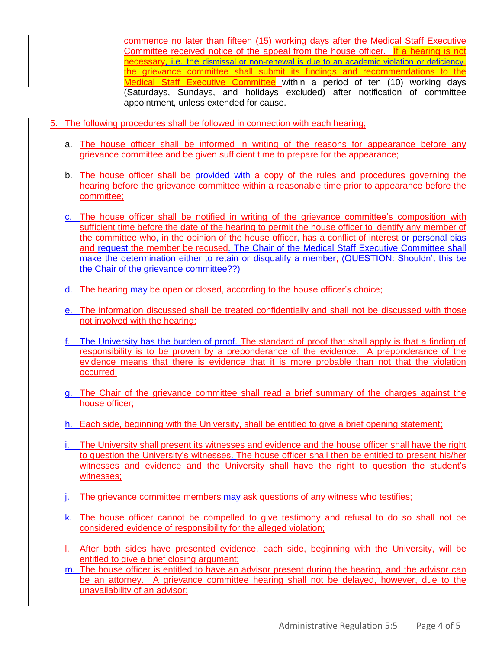commence no later than fifteen (15) working days after the Medical Staff Executive Committee received notice of the appeal from the house officer. If a hearing is not necessary, i.e. the dismissal or non-renewal is due to an academic violation or deficiency, the grievance committee shall submit its findings and recommendations to the Medical Staff Executive Committee within a period of ten (10) working days (Saturdays, Sundays, and holidays excluded) after notification of committee appointment, unless extended for cause.

- 5. The following procedures shall be followed in connection with each hearing;
	- a. The house officer shall be informed in writing of the reasons for appearance before any grievance committee and be given sufficient time to prepare for the appearance;
	- b. The house officer shall be provided with a copy of the rules and procedures governing the hearing before the grievance committee within a reasonable time prior to appearance before the committee;
	- c. The house officer shall be notified in writing of the grievance committee's composition with sufficient time before the date of the hearing to permit the house officer to identify any member of the committee who, in the opinion of the house officer, has a conflict of interest or personal bias and request the member be recused. The Chair of the Medical Staff Executive Committee shall make the determination either to retain or disqualify a member; (QUESTION: Shouldn't this be the Chair of the grievance committee??)
	- d. The hearing may be open or closed, according to the house officer's choice;
	- e. The information discussed shall be treated confidentially and shall not be discussed with those not involved with the hearing;
	- f. The University has the burden of proof. The standard of proof that shall apply is that a finding of responsibility is to be proven by a preponderance of the evidence. A preponderance of the evidence means that there is evidence that it is more probable than not that the violation occurred;
	- g. The Chair of the grievance committee shall read a brief summary of the charges against the house officer;
	- h. Each side, beginning with the University, shall be entitled to give a brief opening statement;
	- i. The University shall present its witnesses and evidence and the house officer shall have the right to question the University's witnesses. The house officer shall then be entitled to present his/her witnesses and evidence and the University shall have the right to question the student's witnesses;
	- j. The grievance committee members may ask questions of any witness who testifies;
	- k. The house officer cannot be compelled to give testimony and refusal to do so shall not be considered evidence of responsibility for the alleged violation;
	- l. After both sides have presented evidence, each side, beginning with the University, will be entitled to give a brief closing argument;
	- m. The house officer is entitled to have an advisor present during the hearing, and the advisor can be an attorney. A grievance committee hearing shall not be delayed, however, due to the unavailability of an advisor;